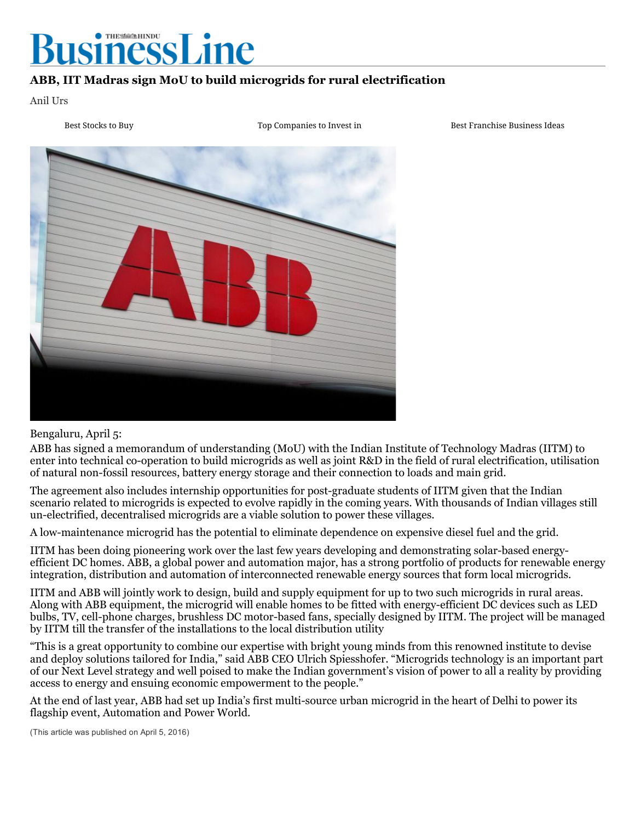

## ABB, IIT Madras sign MoU to build microgrids for rural electrification

Anil Urs

1 Best [Stocks](http://380885756.keywordblocks.com/Best_Stocks_to_Buy.cfm?&vsid=1288541773173452&vi=1485855547463354661&dytm=1485855593421&rtbsd=6&kbbq=%26sde%3D1%26adepth%3D9%26ddepth%3D17&tdAdd[]=%7C%40%7Csde%3D1%7C%40%7Cadepth%3D9%7C%40%7Cddepth%3D17&verid=111299&hvsid=00001485855592949002440317348282&upk=1485855593.26990&sttm=1485855592949&=&kp=1&kbc=1201309988&kt=284&ki=3491170&ktd=211107876831420&kbc2=%7C%7Cl%3D1016%7C%7C&fdkt=284&oref=http%3A%2F%2Fwww.thehindubusinessline.com&fp=M3E7QEZhGCPwkpD1O2qOlM7qCcjzwQ5SVodYFp8608BMjkUVqhqXSSpNVvwggv-5cBl4PfdE8dlPcWsnptSFP81hlY42yMytoQwPKQI53AIowluDYZ7aPgyCf0wdIEgmlEqoJ9i7XeI%3D&c=xqYU2O7ihHCUhtB7AemNPQ&cme=sKnJ4IPxRPwgwChNjCb8-AywegGP7lbsqfg6k4gSZApFqv3qIY7vvu9iYKegG0Vk0wUaVd-Sj1n9oYTjUF0iMad_q5YvbTVhwJkSbSjKo7nRf10FpHDo_eVUZiXp0sfDMddlAwRLYMnr7lsSxtYCb2H4uNwM7N_ej_hrhmyCGDDelZLdBbvCXq5mJhfBZXoljmyU6Fm6o40%3D%7C%7CSKuUSfCLRUm-ttT5M3DxPDiEctZB51T-%7C5gDUJdTGiJzedmq9hanWYg%3D%3D%7CN7fu2vKt8_s%3D%7C3e9majJ0RGNtfjIsOzQ7avWJHwDukZvMTDd0cmBlA2lHSOanuj-47du-BpksJ1HLEKJDCU4fRM9zwfjeeWYiLAnqWahx59FMncfjwx4WfS2Xdg9cxqCWCo_Zs9Gc5GFSYzIeVfek6qPnZ41KazmsC6A1c0fGjQ19pFIWD0n-LBmg0K_kfps_jvho7vSD0pQr%7CJf0d-WoAdPvGVEg9amtubBt_-q-Wd52rdZYPLRZwVyl55ohgJUtBIg%3D%3D%7CJHH4IMOY0Os-Igux5P8dw3eQI06-3VtQQWQ2yfgWSs55hB4CQbDEVQNK4g9RrZg43uwlg5rtXQg%3D%7C&ib=0&cid=8CU2RN242&crid=269386597&size=640x65&lpid=&tsid=1317&ksu=135&chid=200496305&https=0&extKwds=0&kwdsMaxTm=400&ugd=4&maxProviderPixel1=&maxProviderPixel2=&rms=1485855548&&abpl=2&asn=55824) to Buy 2 Top [Companies](http://380885756.keywordblocks.com/Top_Companies_to_Invest_in.cfm?&vsid=1288541773173452&vi=1485855547463354661&dytm=1485855593421&rtbsd=6&kbbq=%26sde%3D1%26adepth%3D9%26ddepth%3D17&tdAdd[]=%7C%40%7Csde%3D1%7C%40%7Cadepth%3D9%7C%40%7Cddepth%3D17&verid=111299&hvsid=00001485855592949002440317348282&upk=1485855593.26990&sttm=1485855592949&=&tdAdd[]=%7C%40%7Cabp%3A3%3A2&kp=2&kbc=1201309988&kt=284&ki=172083405&ktd=211107071525052&kbc2=%7C%7Cl%3D1016%7C%7C&fdkt=284&oref=http%3A%2F%2Fwww.thehindubusinessline.com&fp=M3E7QEZhGCPwkpD1O2qOlM7qCcjzwQ5SVodYFp8608BMjkUVqhqXSSpNVvwggv-5cBl4PfdE8dlPcWsnptSFP81hlY42yMytoQwPKQI53AIowluDYZ7aPgyCf0wdIEgmlEqoJ9i7XeI%3D&c=xqYU2O7ihHCUhtB7AemNPQ&cme=sKnJ4IPxRPwgwChNjCb8-AywegGP7lbsqfg6k4gSZApFqv3qIY7vvu9iYKegG0Vk0wUaVd-Sj1n9oYTjUF0iMad_q5YvbTVhwJkSbSjKo7nRf10FpHDo_eVUZiXp0sfDMddlAwRLYMnr7lsSxtYCb2H4uNwM7N_ej_hrhmyCGDDelZLdBbvCXq5mJhfBZXoljmyU6Fm6o40%3D%7C%7CSKuUSfCLRUm-ttT5M3DxPDiEctZB51T-%7C5gDUJdTGiJzedmq9hanWYg%3D%3D%7CN7fu2vKt8_s%3D%7C3e9majJ0RGNtfjIsOzQ7avWJHwDukZvMTDd0cmBlA2lHSOanuj-47du-BpksJ1HLEKJDCU4fRM9zwfjeeWYiLAnqWahx59FMncfjwx4WfS2Xdg9cxqCWCo_Zs9Gc5GFSYzIeVfek6qPnZ41KazmsC6A1c0fGjQ19pFIWD0n-LBmg0K_kfps_jvho7vSD0pQr%7CJf0d-WoAdPvGVEg9amtubBt_-q-Wd52rdZYPLRZwVyl55ohgJUtBIg%3D%3D%7CJHH4IMOY0Os-Igux5P8dw3eQI06-3VtQQWQ2yfgWSs55hB4CQbDEVQNK4g9RrZg43uwlg5rtXQg%3D%7C&ib=0&cid=8CU2RN242&crid=269386597&size=640x65&lpid=&tsid=1317&ksu=135&chid=200496305&https=0&extKwds=0&kwdsMaxTm=400&ugd=4&maxProviderPixel1=&maxProviderPixel2=&rms=1485855548&&abpl=2&asn=55824) to Invest in 3 Best [Franchise](http://380885756.keywordblocks.com/Best_Franchise_Business_Ideas.cfm?&vsid=1288541773173452&vi=1485855547463354661&dytm=1485855593421&rtbsd=6&kbbq=%26sde%3D1%26adepth%3D9%26ddepth%3D17&tdAdd[]=%7C%40%7Csde%3D1%7C%40%7Cadepth%3D9%7C%40%7Cddepth%3D17&verid=111299&hvsid=00001485855592949002440317348282&upk=1485855593.26990&sttm=1485855592949&=&tdAdd[]=%7C%40%7Cabp%3A3%3A2&tdAdd[]=%7C%40%7Cabp%3A3%3A2&kp=3&kbc=1201309988&kt=284&ki=324556528&ktd=211108145266876&kbc2=%7C%7Cl%3D1016%7C%7C&fdkt=284&oref=http%3A%2F%2Fwww.thehindubusinessline.com&fp=M3E7QEZhGCPwkpD1O2qOlM7qCcjzwQ5SVodYFp8608BMjkUVqhqXSSpNVvwggv-5cBl4PfdE8dlPcWsnptSFP81hlY42yMytoQwPKQI53AIowluDYZ7aPgyCf0wdIEgmlEqoJ9i7XeI%3D&c=xqYU2O7ihHCUhtB7AemNPQ&cme=sKnJ4IPxRPwgwChNjCb8-AywegGP7lbsqfg6k4gSZApFqv3qIY7vvu9iYKegG0Vk0wUaVd-Sj1n9oYTjUF0iMad_q5YvbTVhwJkSbSjKo7nRf10FpHDo_eVUZiXp0sfDMddlAwRLYMnr7lsSxtYCb2H4uNwM7N_ej_hrhmyCGDDelZLdBbvCXq5mJhfBZXoljmyU6Fm6o40%3D%7C%7CSKuUSfCLRUm-ttT5M3DxPDiEctZB51T-%7C5gDUJdTGiJzedmq9hanWYg%3D%3D%7CN7fu2vKt8_s%3D%7C3e9majJ0RGNtfjIsOzQ7avWJHwDukZvMTDd0cmBlA2lHSOanuj-47du-BpksJ1HLEKJDCU4fRM9zwfjeeWYiLAnqWahx59FMncfjwx4WfS2Xdg9cxqCWCo_Zs9Gc5GFSYzIeVfek6qPnZ41KazmsC6A1c0fGjQ19pFIWD0n-LBmg0K_kfps_jvho7vSD0pQr%7CJf0d-WoAdPvGVEg9amtubBt_-q-Wd52rdZYPLRZwVyl55ohgJUtBIg%3D%3D%7CJHH4IMOY0Os-Igux5P8dw3eQI06-3VtQQWQ2yfgWSs55hB4CQbDEVQNK4g9RrZg43uwlg5rtXQg%3D%7C&ib=0&cid=8CU2RN242&crid=269386597&size=640x65&lpid=&tsid=1317&ksu=135&chid=200496305&https=0&extKwds=0&kwdsMaxTm=400&ugd=4&maxProviderPixel1=&maxProviderPixel2=&rms=1485855548&&abpl=2&asn=55824) Business Ideas



## Bengaluru, April 5:

ABB has signed a memorandum of understanding (MoU) with the Indian Institute of Technology Madras (IITM) to enter into technical co-operation to build microgrids as well as joint R&D in the field of rural electrification, utilisation of natural non-fossil resources, battery energy storage and their connection to loads and main grid.

The agreement also includes internship opportunities for post-graduate students of IITM given that the Indian scenario related to microgrids is expected to evolve rapidly in the coming years. With thousands of Indian villages still unelectrified, decentralised microgrids are a viable solution to power these villages.

A lowmaintenance microgrid has the potential to eliminate dependence on expensive diesel fuel and the grid.

IITM has been doing pioneering work over the last few years developing and demonstrating solar-based energyefficient DC homes. ABB, a global power and automation major, has a strong portfolio of products for renewable energy integration, distribution and automation of interconnected renewable energy sources that form local microgrids.

IITM and ABB will jointly work to design, build and supply equipment for up to two such microgrids in rural areas. Along with ABB equipment, the microgrid will enable homes to be fitted with energyefficient DC devices such as LED bulbs, TV, cell-phone charges, brushless DC motor-based fans, specially designed by IITM. The project will be managed by IITM till the transfer of the installations to the local distribution utility

"This is a great opportunity to combine our expertise with bright young minds from this renowned institute to devise and deploy solutions tailored for India," said ABB CEO Ulrich Spiesshofer. "Microgrids technology is an important part of our Next Level strategy and well poised to make the Indian government's vision of power to all a reality by providing access to energy and ensuing economic empowerment to the people."

At the end of last year, ABB had set up India's first multi-source urban microgrid in the heart of Delhi to power its flagship event, Automation and Power World.

(This article was published on April 5, 2016)